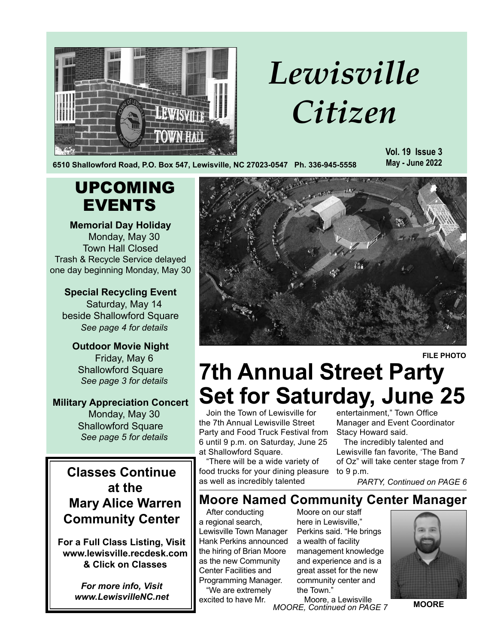

UPCOMING

EVENTS

**Memorial Day Holiday**  Monday, May 30 Town Hall Closed Trash & Recycle Service delayed

**Special Recycling Event** Saturday, May 14 beside Shallowford Square *See page 4 for details*

**Outdoor Movie Night** Friday, May 6 Shallowford Square *See page 3 for details*

**Military Appreciation Concert** Monday, May 30 Shallowford Square *See page 5 for details*

# *Lewisville Citizen*

**6510 Shallowford Road, P.O. Box 547, Lewisville, NC 27023-0547 Ph. 336-945-5558**

**Vol. 19 Issue 3 May - June 2022**



**FILE PHOTO**

### **7th Annual Street Party Set for Saturday, June 25**

Join the Town of Lewisville for the 7th Annual Lewisville Street Party and Food Truck Festival from 6 until 9 p.m. on Saturday, June 25 at Shallowford Square.

"There will be a wide variety of food trucks for your dining pleasure as well as incredibly talented

entertainment," Town Office Manager and Event Coordinator Stacy Howard said.

The incredibly talented and Lewisville fan favorite, 'The Band of Oz" will take center stage from 7 to 9 p.m.

*PARTY, Continued on PAGE 6*

### **Moore Named Community Center Manager**

After conducting a regional search, Lewisville Town Manager Hank Perkins announced the hiring of Brian Moore as the new Community Center Facilities and Programming Manager. "We are extremely

excited to have Mr.

Moore on our staff here in Lewisville," Perkins said. "He brings a wealth of facility management knowledge and experience and is a great asset for the new community center and the Town."

*MOORE, Continued on PAGE 7* Moore, a Lewisville



**MOORE**

**Classes Continue at the Mary Alice Warren Community Center**

**For a Full Class Listing, Visit www.lewisville.recdesk.com & Click on Classes**

> *For more info, Visit www.LewisvilleNC.net*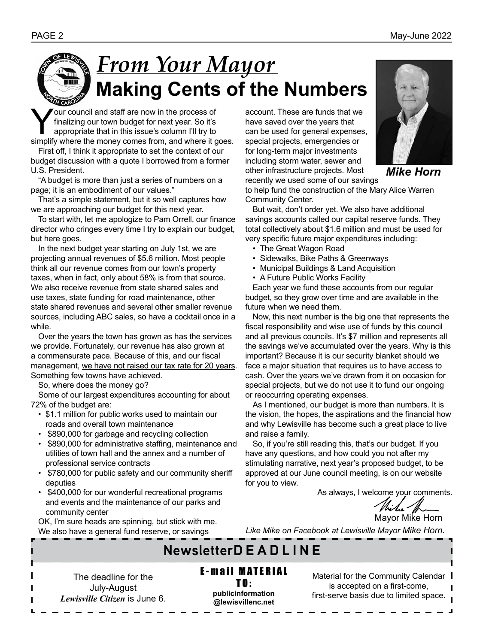### *From Your Mayor* **Making Cents of the Numbers**

Your council and staff are now in the process of<br>finalizing our town budget for next year. So it's<br>appropriate that in this issue's column I'll try to<br>simplify where the money comes from and where it o finalizing our town budget for next year. So it's appropriate that in this issue's column I'll try to simplify where the money comes from, and where it goes.

First off, I think it appropriate to set the context of our budget discussion with a quote I borrowed from a former U.S. President.

"A budget is more than just a series of numbers on a page; it is an embodiment of our values."

That's a simple statement, but it so well captures how we are approaching our budget for this next year.

To start with, let me apologize to Pam Orrell, our finance director who cringes every time I try to explain our budget, but here goes.

In the next budget year starting on July 1st, we are projecting annual revenues of \$5.6 million. Most people think all our revenue comes from our town's property taxes, when in fact, only about 58% is from that source. We also receive revenue from state shared sales and use taxes, state funding for road maintenance, other state shared revenues and several other smaller revenue sources, including ABC sales, so have a cocktail once in a while.

Over the years the town has grown as has the services we provide. Fortunately, our revenue has also grown at a commensurate pace. Because of this, and our fiscal management, we have not raised our tax rate for 20 years. Something few towns have achieved.

So, where does the money go?

Some of our largest expenditures accounting for about 72% of the budget are:

- \$1.1 million for public works used to maintain our roads and overall town maintenance
- \$890,000 for garbage and recycling collection
- \$890,000 for administrative staffing, maintenance and utilities of town hall and the annex and a number of professional service contracts
- \$780,000 for public safety and our community sheriff deputies
- \$400,000 for our wonderful recreational programs and events and the maintenance of our parks and community center

OK, I'm sure heads are spinning, but stick with me. We also have a general fund reserve, or savings

account. These are funds that we have saved over the years that can be used for general expenses, special projects, emergencies or for long-term major investments including storm water, sewer and other infrastructure projects. Most recently we used some of our savings



*Mike Horn*

to help fund the construction of the Mary Alice Warren Community Center.

But wait, don't order yet. We also have additional savings accounts called our capital reserve funds. They total collectively about \$1.6 million and must be used for very specific future major expenditures including:

- The Great Wagon Road
- Sidewalks, Bike Paths & Greenways
- Municipal Buildings & Land Acquisition
- A Future Public Works Facility

Each year we fund these accounts from our regular budget, so they grow over time and are available in the future when we need them.

Now, this next number is the big one that represents the fiscal responsibility and wise use of funds by this council and all previous councils. It's \$7 million and represents all the savings we've accumulated over the years. Why is this important? Because it is our security blanket should we face a major situation that requires us to have access to cash. Over the years we've drawn from it on occasion for special projects, but we do not use it to fund our ongoing or reoccurring operating expenses.

As I mentioned, our budget is more than numbers. It is the vision, the hopes, the aspirations and the financial how and why Lewisville has become such a great place to live and raise a family.

So, if you're still reading this, that's our budget. If you have any questions, and how could you not after my stimulating narrative, next year's proposed budget, to be approved at our June council meeting, is on our website for you to view.

As always, I welcome your comments.

*Milee* Mann<br>Mayor Mike Horn

*Like Mike on Facebook at Lewisville Mayor Mike Horn.*

### **NewsletterD E A D L I N E**

The deadline for the July-August *Lewisville Citizen* is June 6. **E-mail MATERIAL** 

TO: **publicinformation @lewisvillenc.net** Material for the Community Calendar I is accepted on a first-come, first-serve basis due to limited space.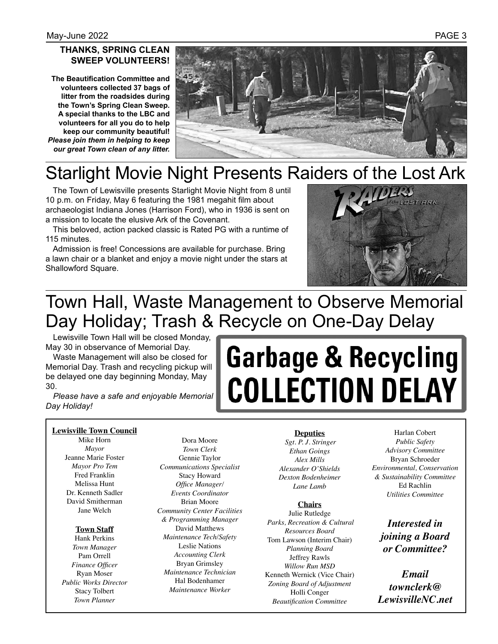#### **THANKS, SPRING CLEAN SWEEP VOLUNTEERS!**

**The Beautification Committee and volunteers collected 37 bags of litter from the roadsides during the Town's Spring Clean Sweep. A special thanks to the LBC and volunteers for all you do to help keep our community beautiful!**  *Please join them in helping to keep our great Town clean of any litter.* 



### Starlight Movie Night Presents Raiders of the Lost Ark

The Town of Lewisville presents Starlight Movie Night from 8 until 10 p.m. on Friday, May 6 featuring the 1981 megahit film about archaeologist Indiana Jones (Harrison Ford), who in 1936 is sent on a mission to locate the elusive Ark of the Covenant.

This beloved, action packed classic is Rated PG with a runtime of 115 minutes.

Admission is free! Concessions are available for purchase. Bring a lawn chair or a blanket and enjoy a movie night under the stars at Shallowford Square.



### Town Hall, Waste Management to Observe Memorial Day Holiday; Trash & Recycle on One-Day Delay

Lewisville Town Hall will be closed Monday, May 30 in observance of Memorial Day.

Waste Management will also be closed for Memorial Day. Trash and recycling pickup will be delayed one day beginning Monday, May 30.

*Please have a safe and enjoyable Memorial Day Holiday!*

# **Garbage & Recycling COLLECTION DELAY**

#### **Lewisville Town Council**

Mike Horn *Mayor* Jeanne Marie Foster *Mayor Pro Tem* Fred Franklin Melissa Hunt Dr. Kenneth Sadler David Smitherman Jane Welch

#### **Town Staff**

Hank Perkins *Town Manager* Pam Orrell *Finance Officer* Ryan Moser *Public Works Director* Stacy Tolbert *Town Planner*

Dora Moore *Town Clerk* Gennie Taylor *Communications Specialist* Stacy Howard *Office Manager/ Events Coordinator* Brian Moore *Community Center Facilities & Programming Manager* David Matthews *Maintenance Tech/Safety* Leslie Nations *Accounting Clerk* Bryan Grimsley *Maintenance Technician* Hal Bodenhamer *Maintenance Worker* 

#### **Deputies**

 *Sgt. P. J. Stringer Ethan Goings Alex Mills Alexander O'Shields Dexton Bodenheimer Lane Lamb*

#### **Chairs**

Julie Rutledge  *Parks, Recreation & Cultural Resources Board* Tom Lawson (Interim Chair) *Planning Board* Jeffrey Rawls *Willow Run MSD* Kenneth Wernick (Vice Chair) *Zoning Board of Adjustment*  Holli Conger *Beautification Committee*

Harlan Cobert *Public Safety Advisory Committee* Bryan Schroeder *Environmental, Conservation & Sustainability Committee* Ed Rachlin *Utilities Committee*

*Interested in joining a Board or Committee?* 

*Email townclerk@ LewisvilleNC.net*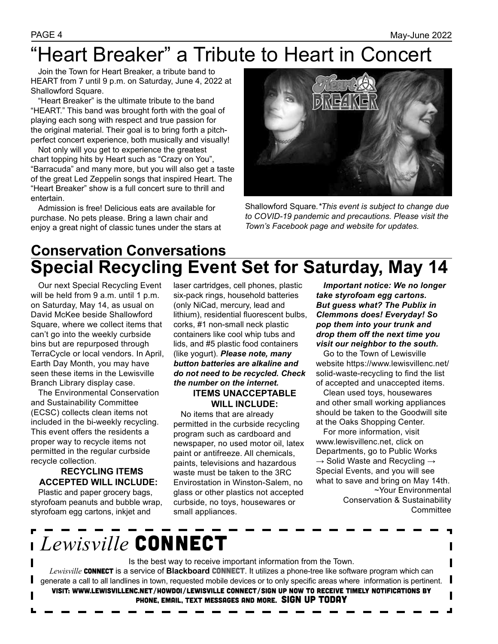### "Heart Breaker" a Tribute to Heart in Concert

Join the Town for Heart Breaker, a tribute band to HEART from 7 until 9 p.m. on Saturday, June 4, 2022 at Shallowford Square.

"Heart Breaker" is the ultimate tribute to the band "HEART." This band was brought forth with the goal of playing each song with respect and true passion for the original material. Their goal is to bring forth a pitchperfect concert experience, both musically and visually!

Not only will you get to experience the greatest chart topping hits by Heart such as "Crazy on You", "Barracuda" and many more, but you will also get a taste of the great Led Zeppelin songs that inspired Heart. The "Heart Breaker" show is a full concert sure to thrill and entertain.

Admission is free! Delicious eats are available for purchase. No pets please. Bring a lawn chair and enjoy a great night of classic tunes under the stars at



Shallowford Square*.\*This event is subject to change due to COVID-19 pandemic and precautions. Please visit the Town's Facebook page and website for updates.*

### **Conservation Conversations Special Recycling Event Set for Saturday, May 14**

Our next Special Recycling Event will be held from 9 a.m. until 1 p.m. on Saturday, May 14, as usual on David McKee beside Shallowford Square, where we collect items that can't go into the weekly curbside bins but are repurposed through TerraCycle or local vendors. In April, Earth Day Month, you may have seen these items in the Lewisville Branch Library display case.

The Environmental Conservation and Sustainability Committee (ECSC) collects clean items not included in the bi-weekly recycling. This event offers the residents a proper way to recycle items not permitted in the regular curbside recycle collection.

### **RECYCLING ITEMS ACCEPTED WILL INCLUDE:**

Plastic and paper grocery bags, styrofoam peanuts and bubble wrap, styrofoam egg cartons, inkjet and

laser cartridges, cell phones, plastic six-pack rings, household batteries (only NiCad, mercury, lead and lithium), residential fluorescent bulbs, corks, #1 non-small neck plastic containers like cool whip tubs and lids, and #5 plastic food containers (like yogurt). *Please note, many button batteries are alkaline and do not need to be recycled. Check the number on the internet.* **ITEMS UNACCEPTABLE** 

**WILL INCLUDE:** 

No items that are already permitted in the curbside recycling program such as cardboard and newspaper, no used motor oil, latex paint or antifreeze. All chemicals, paints, televisions and hazardous waste must be taken to the 3RC Envirostation in Winston-Salem, no glass or other plastics not accepted curbside, no toys, housewares or small appliances.

*Important notice: We no longer take styrofoam egg cartons. But guess what? The Publix in Clemmons does! Everyday! So pop them into your trunk and drop them off the next time you visit our neighbor to the south.*

Go to the Town of Lewisville website https://www.lewisvillenc.net/ solid-waste-recycling to find the list of accepted and unaccepted items.

Clean used toys, housewares and other small working appliances should be taken to the Goodwill site at the Oaks Shopping Center.

For more information, visit www.lewisvillenc.net, click on Departments, go to Public Works  $\rightarrow$  Solid Waste and Recycling  $\rightarrow$ Special Events, and you will see what to save and bring on May 14th. ~Your Environmental Conservation & Sustainability **Committee** 

┙

## *Lewisville* CONNECT

Is the best way to receive important information from the Town. Lewisville **CONNECT** is a service of **Blackboard CONNECT**. It utilizes a phone-tree like software program which can generate a call to all landlines in town, requested mobile devices or to only specific areas where information is pertinent. Visit: www.lewisvillenc.net/HowDoI/Lewisville Connect/Sign up now to receive timely notifications by phone, email, text messages and more. SIGN UP TODAY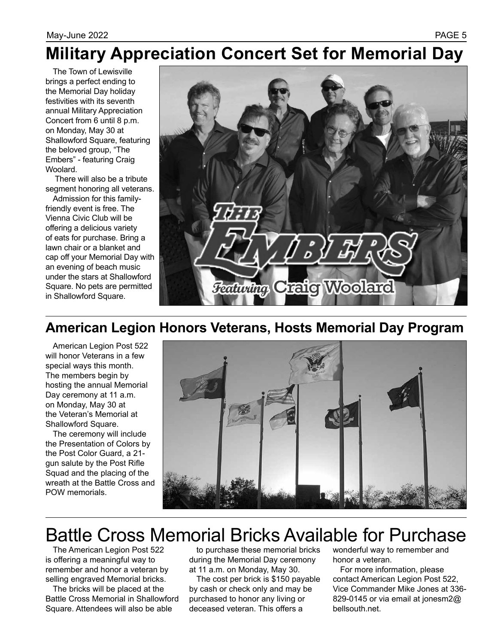### **Military Appreciation Concert Set for Memorial Day**

The Town of Lewisville brings a perfect ending to the Memorial Day holiday festivities with its seventh annual Military Appreciation Concert from 6 until 8 p.m. on Monday, May 30 at Shallowford Square, featuring the beloved group, "The Embers" - featuring Craig Woolard.

 There will also be a tribute segment honoring all veterans.

Admission for this familyfriendly event is free. The Vienna Civic Club will be offering a delicious variety of eats for purchase. Bring a lawn chair or a blanket and cap off your Memorial Day with an evening of beach music under the stars at Shallowford Square. No pets are permitted in Shallowford Square.



### **American Legion Honors Veterans, Hosts Memorial Day Program**

American Legion Post 522 will honor Veterans in a few special ways this month. The members begin by hosting the annual Memorial Day ceremony at 11 a.m. on Monday, May 30 at the Veteran's Memorial at Shallowford Square.

The ceremony will include the Presentation of Colors by the Post Color Guard, a 21 gun salute by the Post Rifle Squad and the placing of the wreath at the Battle Cross and POW memorials.



### Battle Cross Memorial Bricks Available for Purchase

The American Legion Post 522 is offering a meaningful way to remember and honor a veteran by selling engraved Memorial bricks.

The bricks will be placed at the Battle Cross Memorial in Shallowford Square. Attendees will also be able

to purchase these memorial bricks during the Memorial Day ceremony at 11 a.m. on Monday, May 30.

The cost per brick is \$150 payable by cash or check only and may be purchased to honor any living or deceased veteran. This offers a

wonderful way to remember and honor a veteran.

For more information, please contact American Legion Post 522, Vice Commander Mike Jones at 336- 829-0145 or via email at jonesm2@ bellsouth.net.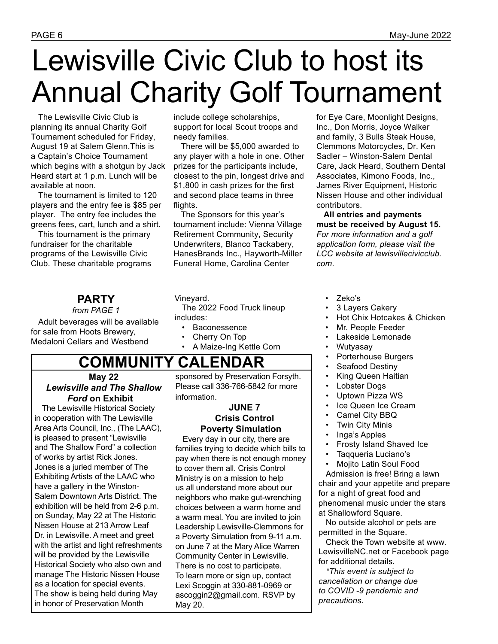## Lewisville Civic Club to host its Annual Charity Golf Tournament

The Lewisville Civic Club is planning its annual Charity Golf Tournament scheduled for Friday, August 19 at Salem Glenn.This is a Captain's Choice Tournament which begins with a shotgun by Jack Heard start at 1 p.m. Lunch will be available at noon.

The tournament is limited to 120 players and the entry fee is \$85 per player. The entry fee includes the greens fees, cart, lunch and a shirt.

This tournament is the primary fundraiser for the charitable programs of the Lewisville Civic Club. These charitable programs

include college scholarships, support for local Scout troops and needy families.

There will be \$5,000 awarded to any player with a hole in one. Other prizes for the participants include, closest to the pin, longest drive and \$1,800 in cash prizes for the first and second place teams in three flights.

The Sponsors for this year's tournament include: Vienna Village Retirement Community, Security Underwriters, Blanco Tackabery, HanesBrands Inc., Hayworth-Miller Funeral Home, Carolina Center

for Eye Care, Moonlight Designs, Inc., Don Morris, Joyce Walker and family, 3 Bulls Steak House, Clemmons Motorcycles, Dr. Ken Sadler – Winston-Salem Dental Care, Jack Heard, Southern Dental Associates, Kimono Foods, Inc., James River Equipment, Historic Nissen House and other individual contributors.

**All entries and payments must be received by August 15.**  *For more information and a golf application form, please visit the LCC website at lewisvillecivicclub. com*.

### **PARTY**

*from PAGE 1*

Adult beverages will be available for sale from Hoots Brewery, Medaloni Cellars and Westbend

#### Vineyard.

The 2022 Food Truck lineup includes:

- Baconessence
- Cherry On Top
- A Maize-Ing Kettle Corn

### **COMMUNITY CALENDAR**

#### **May 22**  *Lewisville and The Shallow Ford* **on Exhibit**

The Lewisville Historical Society in cooperation with The Lewisville Area Arts Council, Inc., (The LAAC), is pleased to present "Lewisville and The Shallow Ford" a collection of works by artist Rick Jones. Jones is a juried member of The Exhibiting Artists of the LAAC who have a gallery in the Winston-Salem Downtown Arts District. The exhibition will be held from 2-6 p.m. on Sunday, May 22 at The Historic Nissen House at 213 Arrow Leaf Dr. in Lewisville. A meet and greet with the artist and light refreshments will be provided by the Lewisville Historical Society who also own and manage The Historic Nissen House as a location for special events. The show is being held during May in honor of Preservation Month

sponsored by Preservation Forsyth. Please call 336-766-5842 for more information.

### **JUNE 7 Crisis Control Poverty Simulation**

Every day in our city, there are families trying to decide which bills to pay when there is not enough money to cover them all. Crisis Control Ministry is on a mission to help us all understand more about our neighbors who make gut-wrenching choices between a warm home and a warm meal. You are invited to join Leadership Lewisville-Clemmons for a Poverty Simulation from 9-11 a.m. on June 7 at the Mary Alice Warren Community Center in Lewisville. There is no cost to participate. To learn more or sign up, contact Lexi Scoggin at 330-881-0969 or ascoggin2@gmail.com. RSVP by May 20.

- Zeko's
- 3 Layers Cakery
- Hot Chix Hotcakes & Chicken
- Mr. People Feeder
- Lakeside Lemonade
- Wutyasay
- Porterhouse Burgers
- Seafood Destiny
- King Queen Haitian
- Lobster Dogs
- Uptown Pizza WS
- Ice Queen Ice Cream
- Camel City BBQ
- **Twin City Minis**
- Inga's Apples
- Frosty Island Shaved Ice
- Taqqueria Luciano's
- Mojito Latin Soul Food

Admission is free! Bring a lawn chair and your appetite and prepare for a night of great food and phenomenal music under the stars at Shallowford Square.

No outside alcohol or pets are permitted in the Square.

Check the Town website at www. LewisvilleNC.net or Facebook page for additional details.

*\*This event is subject to cancellation or change due to COVID -9 pandemic and precautions.*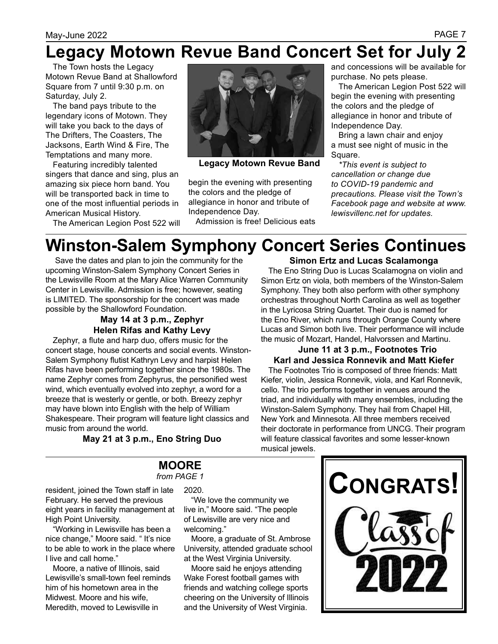### **Legacy Motown Revue Band Concert Set for July 2**

The Town hosts the Legacy Motown Revue Band at Shallowford Square from 7 until 9:30 p.m. on Saturday, July 2.

The band pays tribute to the legendary icons of Motown. They will take you back to the days of The Drifters, The Coasters, The Jacksons, Earth Wind & Fire, The Temptations and many more.

Featuring incredibly talented singers that dance and sing, plus an amazing six piece horn band. You will be transported back in time to one of the most influential periods in American Musical History.

The American Legion Post 522 will



**Legacy Motown Revue Band**

begin the evening with presenting the colors and the pledge of allegiance in honor and tribute of Independence Day.

Admission is free! Delicious eats

and concessions will be available for purchase. No pets please.

The American Legion Post 522 will begin the evening with presenting the colors and the pledge of allegiance in honor and tribute of Independence Day.

Bring a lawn chair and enjoy a must see night of music in the Square.

*\*This event is subject to cancellation or change due to COVID-19 pandemic and precautions. Please visit the Town's Facebook page and website at www. lewisvillenc.net for updates.*

### **Winston-Salem Symphony Concert Series Continues**

 Save the dates and plan to join the community for the upcoming Winston-Salem Symphony Concert Series in the Lewisville Room at the Mary Alice Warren Community Center in Lewisville. Admission is free; however, seating is LIMITED. The sponsorship for the concert was made possible by the Shallowford Foundation.

### **May 14 at 3 p.m., Zephyr Helen Rifas and Kathy Levy**

Zephyr, a flute and harp duo, offers music for the concert stage, house concerts and social events. Winston-Salem Symphony flutist Kathryn Levy and harpist Helen Rifas have been performing together since the 1980s. The name Zephyr comes from Zephyrus, the personified west wind, which eventually evolved into zephyr, a word for a breeze that is westerly or gentle, or both. Breezy zephyr may have blown into English with the help of William Shakespeare. Their program will feature light classics and music from around the world.

**May 21 at 3 p.m., Eno String Duo** 

#### **Simon Ertz and Lucas Scalamonga**

The Eno String Duo is Lucas Scalamogna on violin and Simon Ertz on viola, both members of the Winston-Salem Symphony. They both also perform with other symphony orchestras throughout North Carolina as well as together in the Lyricosa String Quartet. Their duo is named for the Eno River, which runs through Orange County where Lucas and Simon both live. Their performance will include the music of Mozart, Handel, Halvorssen and Martinu.

### **June 11 at 3 p.m., Footnotes Trio Karl and Jessica Ronnevik and Matt Kiefer**

The Footnotes Trio is composed of three friends: Matt Kiefer, violin, Jessica Ronnevik, viola, and Karl Ronnevik, cello. The trio performs together in venues around the triad, and individually with many ensembles, including the Winston-Salem Symphony. They hail from Chapel Hill, New York and Minnesota. All three members received their doctorate in performance from UNCG. Their program will feature classical favorites and some lesser-known musical jewels.

#### **MOORE**  *from PAGE 1*

resident, joined the Town staff in late February. He served the previous eight years in facility management at High Point University.

"Working in Lewisville has been a nice change," Moore said. " It's nice to be able to work in the place where I live and call home."

Moore, a native of Illinois, said Lewisville's small-town feel reminds him of his hometown area in the Midwest. Moore and his wife, Meredith, moved to Lewisville in

2020.

"We love the community we live in," Moore said. "The people of Lewisville are very nice and welcoming."

Moore, a graduate of St. Ambrose University, attended graduate school at the West Virginia University.

Moore said he enjoys attending Wake Forest football games with friends and watching college sports cheering on the University of Illinois and the University of West Virginia.